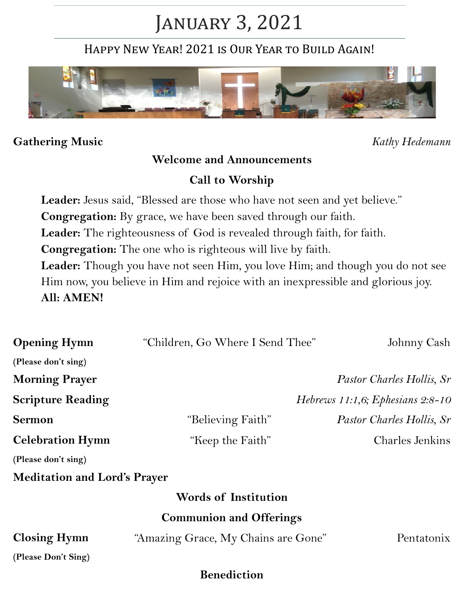# January 3, 2021

HAPPY NEW YEAR! 2021 IS OUR YEAR TO BUILD AGAIN!



## **Gathering Music** *Kathy Hedemann*

#### **Welcome and Announcements**

# **Call to Worship**

Leader: Jesus said, "Blessed are those who have not seen and yet believe." **Congregation:** By grace, we have been saved through our faith. **Leader:** The righteousness of God is revealed through faith, for faith. **Congregation:** The one who is righteous will live by faith. **Leader:** Though you have not seen Him, you love Him; and though you do not see Him now, you believe in Him and rejoice with an inexpressible and glorious joy. **All: AMEN!**

| <b>Opening Hymn</b>                 | "Children, Go Where I Send Thee"    | Johnny Cash                           |
|-------------------------------------|-------------------------------------|---------------------------------------|
| (Please don't sing)                 |                                     |                                       |
| <b>Morning Prayer</b>               |                                     | Pastor Charles Hollis, Sr             |
| <b>Scripture Reading</b>            |                                     | Hebrews $11:1,6$ ; Ephesians $2:8-10$ |
| <b>Sermon</b>                       | "Believing Faith"                   | Pastor Charles Hollis, Sr             |
| <b>Celebration Hymn</b>             | "Keep the Faith"                    | Charles Jenkins                       |
| (Please don't sing)                 |                                     |                                       |
| <b>Meditation and Lord's Prayer</b> |                                     |                                       |
| <b>Words of Institution</b>         |                                     |                                       |
| <b>Communion and Offerings</b>      |                                     |                                       |
| <b>Closing Hymn</b>                 | "Amazing Grace, My Chains are Gone" | Pentatonix                            |
| (Please Don't Sing)                 |                                     |                                       |
| <b>Benediction</b>                  |                                     |                                       |